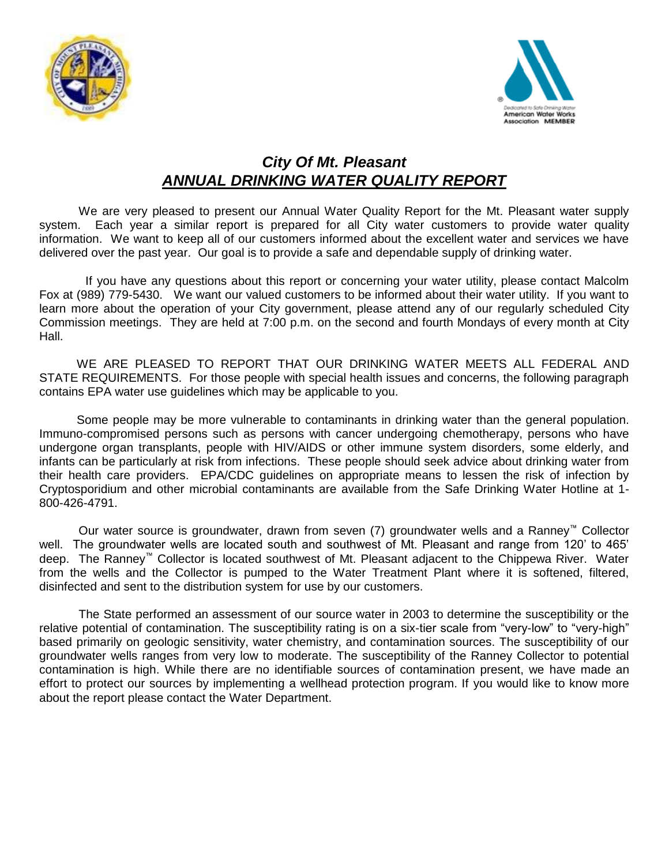



## *City Of Mt. Pleasant ANNUAL DRINKING WATER QUALITY REPORT*

We are very pleased to present our Annual Water Quality Report for the Mt. Pleasant water supply system. Each year a similar report is prepared for all City water customers to provide water quality information. We want to keep all of our customers informed about the excellent water and services we have delivered over the past year. Our goal is to provide a safe and dependable supply of drinking water.

If you have any questions about this report or concerning your water utility, please contact Malcolm Fox at (989) 779-5430.We want our valued customers to be informed about their water utility. If you want to learn more about the operation of your City government, please attend any of our regularly scheduled City Commission meetings. They are held at 7:00 p.m. on the second and fourth Mondays of every month at City Hall.

WE ARE PLEASED TO REPORT THAT OUR DRINKING WATER MEETS ALL FEDERAL AND STATE REQUIREMENTS. For those people with special health issues and concerns, the following paragraph contains EPA water use guidelines which may be applicable to you.

 Some people may be more vulnerable to contaminants in drinking water than the general population. Immuno-compromised persons such as persons with cancer undergoing chemotherapy, persons who have undergone organ transplants, people with HIV/AIDS or other immune system disorders, some elderly, and infants can be particularly at risk from infections. These people should seek advice about drinking water from their health care providers. EPA/CDC guidelines on appropriate means to lessen the risk of infection by Cryptosporidium and other microbial contaminants are available from the Safe Drinking Water Hotline at 1- 800-426-4791.

Our water source is groundwater, drawn from seven (7) groundwater wells and a Ranney™ Collector well. The groundwater wells are located south and southwest of Mt. Pleasant and range from 120' to 465' deep. The Ranney™ Collector is located southwest of Mt. Pleasant adjacent to the Chippewa River. Water from the wells and the Collector is pumped to the Water Treatment Plant where it is softened, filtered, disinfected and sent to the distribution system for use by our customers.

The State performed an assessment of our source water in 2003 to determine the susceptibility or the relative potential of contamination. The susceptibility rating is on a six-tier scale from "very-low" to "very-high" based primarily on geologic sensitivity, water chemistry, and contamination sources. The susceptibility of our groundwater wells ranges from very low to moderate. The susceptibility of the Ranney Collector to potential contamination is high. While there are no identifiable sources of contamination present, we have made an effort to protect our sources by implementing a wellhead protection program. If you would like to know more about the report please contact the Water Department.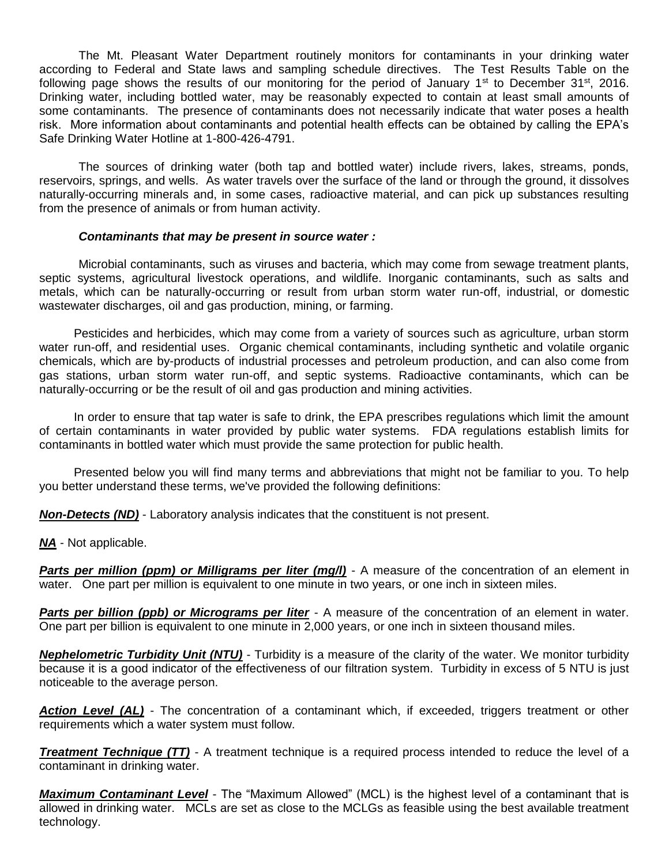The Mt. Pleasant Water Department routinely monitors for contaminants in your drinking water according to Federal and State laws and sampling schedule directives. The Test Results Table on the following page shows the results of our monitoring for the period of January 1<sup>st</sup> to December 31<sup>st</sup>, 2016. Drinking water, including bottled water, may be reasonably expected to contain at least small amounts of some contaminants. The presence of contaminants does not necessarily indicate that water poses a health risk. More information about contaminants and potential health effects can be obtained by calling the EPA's Safe Drinking Water Hotline at 1-800-426-4791.

The sources of drinking water (both tap and bottled water) include rivers, lakes, streams, ponds, reservoirs, springs, and wells. As water travels over the surface of the land or through the ground, it dissolves naturally-occurring minerals and, in some cases, radioactive material, and can pick up substances resulting from the presence of animals or from human activity.

## *Contaminants that may be present in source water :*

Microbial contaminants, such as viruses and bacteria, which may come from sewage treatment plants, septic systems, agricultural livestock operations, and wildlife. Inorganic contaminants, such as salts and metals, which can be naturally-occurring or result from urban storm water run-off, industrial, or domestic wastewater discharges, oil and gas production, mining, or farming.

Pesticides and herbicides, which may come from a variety of sources such as agriculture, urban storm water run-off, and residential uses. Organic chemical contaminants, including synthetic and volatile organic chemicals, which are by-products of industrial processes and petroleum production, and can also come from gas stations, urban storm water run-off, and septic systems. Radioactive contaminants, which can be naturally-occurring or be the result of oil and gas production and mining activities.

In order to ensure that tap water is safe to drink, the EPA prescribes regulations which limit the amount of certain contaminants in water provided by public water systems. FDA regulations establish limits for contaminants in bottled water which must provide the same protection for public health.

Presented below you will find many terms and abbreviations that might not be familiar to you. To help you better understand these terms, we've provided the following definitions:

*Non-Detects (ND)* - Laboratory analysis indicates that the constituent is not present.

*NA* - Not applicable.

**Parts per million (ppm) or Milligrams per liter (mg/l)** - A measure of the concentration of an element in water. One part per million is equivalent to one minute in two years, or one inch in sixteen miles.

**Parts per billion (ppb) or Micrograms per liter** - A measure of the concentration of an element in water. One part per billion is equivalent to one minute in 2,000 years, or one inch in sixteen thousand miles.

*Nephelometric Turbidity Unit (NTU)* - Turbidity is a measure of the clarity of the water. We monitor turbidity because it is a good indicator of the effectiveness of our filtration system. Turbidity in excess of 5 NTU is just noticeable to the average person.

*Action Level (AL)* - The concentration of a contaminant which, if exceeded, triggers treatment or other requirements which a water system must follow.

*Treatment Technique (TT)* - A treatment technique is a required process intended to reduce the level of a contaminant in drinking water.

*Maximum Contaminant Level* - The "Maximum Allowed" (MCL) is the highest level of a contaminant that is allowed in drinking water. MCLs are set as close to the MCLGs as feasible using the best available treatment technology.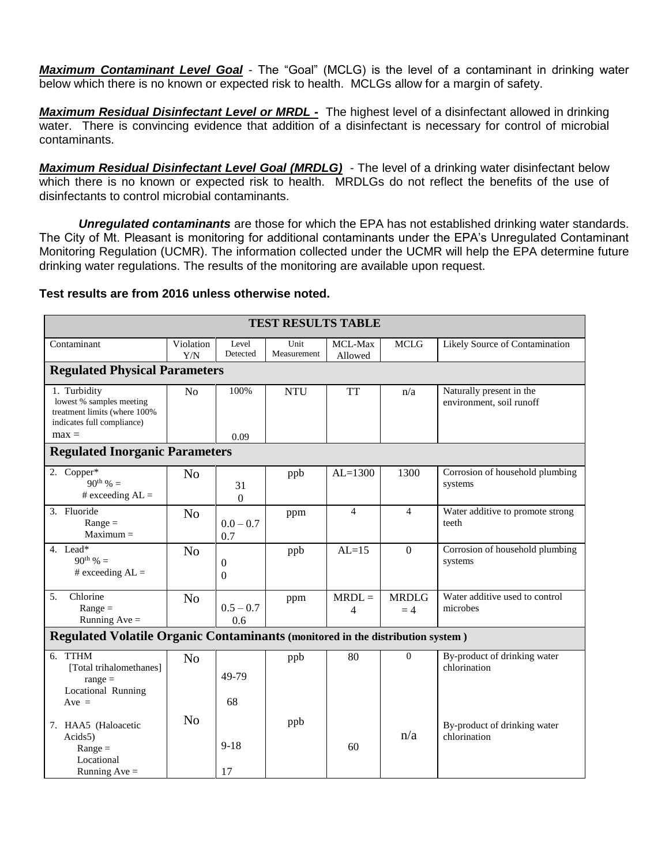*Maximum Contaminant Level Goal* - The "Goal" (MCLG) is the level of a contaminant in drinking water below which there is no known or expected risk to health. MCLGs allow for a margin of safety.

*Maximum Residual Disinfectant Level or MRDL -* The highest level of a disinfectant allowed in drinking water. There is convincing evidence that addition of a disinfectant is necessary for control of microbial contaminants.

*Maximum Residual Disinfectant Level Goal (MRDLG) -* The level of a drinking water disinfectant below which there is no known or expected risk to health. MRDLGs do not reflect the benefits of the use of disinfectants to control microbial contaminants.

*Unregulated contaminants* are those for which the EPA has not established drinking water standards. The City of Mt. Pleasant is monitoring for additional contaminants under the EPA's Unregulated Contaminant Monitoring Regulation (UCMR). The information collected under the UCMR will help the EPA determine future drinking water regulations. The results of the monitoring are available upon request.

## **Test results are from 2016 unless otherwise noted.**

| <b>TEST RESULTS TABLE</b>                                                                                         |                  |                          |                     |                    |                      |                                                      |  |  |  |  |  |
|-------------------------------------------------------------------------------------------------------------------|------------------|--------------------------|---------------------|--------------------|----------------------|------------------------------------------------------|--|--|--|--|--|
| Contaminant                                                                                                       | Violation<br>Y/N | Level<br>Detected        | Unit<br>Measurement | MCL-Max<br>Allowed | <b>MCLG</b>          | Likely Source of Contamination                       |  |  |  |  |  |
| <b>Regulated Physical Parameters</b>                                                                              |                  |                          |                     |                    |                      |                                                      |  |  |  |  |  |
| 1. Turbidity<br>lowest % samples meeting<br>treatment limits (where 100%<br>indicates full compliance)<br>$max =$ | N <sub>o</sub>   | 100%<br>0.09             | <b>NTU</b>          | <b>TT</b>          | n/a                  | Naturally present in the<br>environment, soil runoff |  |  |  |  |  |
| <b>Regulated Inorganic Parameters</b>                                                                             |                  |                          |                     |                    |                      |                                                      |  |  |  |  |  |
| 2. Copper*<br>$90^{th}$ % =<br># exceeding $AL =$                                                                 | N <sub>o</sub>   | 31<br>$\boldsymbol{0}$   | ppb                 | $AL=1300$          | 1300                 | Corrosion of household plumbing<br>systems           |  |  |  |  |  |
| 3. Fluoride<br>$Range =$<br>$Maximum =$                                                                           | N <sub>o</sub>   | $0.0 - 0.7$<br>0.7       | ppm                 | $\overline{4}$     | $\overline{4}$       | Water additive to promote strong<br>teeth            |  |  |  |  |  |
| 4. Lead*<br>90 <sup>th</sup> % =<br># exceeding $AL =$                                                            | N <sub>o</sub>   | $\mathbf{0}$<br>$\Omega$ | ppb                 | $AL=15$            | $\Omega$             | Corrosion of household plumbing<br>systems           |  |  |  |  |  |
| Chlorine<br>5.<br>$Range =$<br>Running Ave $=$                                                                    | N <sub>o</sub>   | $0.5 - 0.7$<br>0.6       | ppm                 | $MRDL =$<br>4      | <b>MRDLG</b><br>$=4$ | Water additive used to control<br>microbes           |  |  |  |  |  |
| Regulated Volatile Organic Contaminants (monitored in the distribution system)                                    |                  |                          |                     |                    |                      |                                                      |  |  |  |  |  |
| 6. TTHM<br>[Total trihalomethanes]<br>$range =$<br>Locational Running<br>$Ave =$                                  | N <sub>0</sub>   | 49-79<br>68              | ppb                 | 80                 | $\mathbf{0}$         | By-product of drinking water<br>chlorination         |  |  |  |  |  |
| 7. HAA5 (Haloacetic<br>Acids <sub>5</sub> )<br>$Range =$<br>Locational<br>Running $Ave =$                         | N <sub>o</sub>   | $9 - 18$<br>17           | ppb                 | 60                 | n/a                  | By-product of drinking water<br>chlorination         |  |  |  |  |  |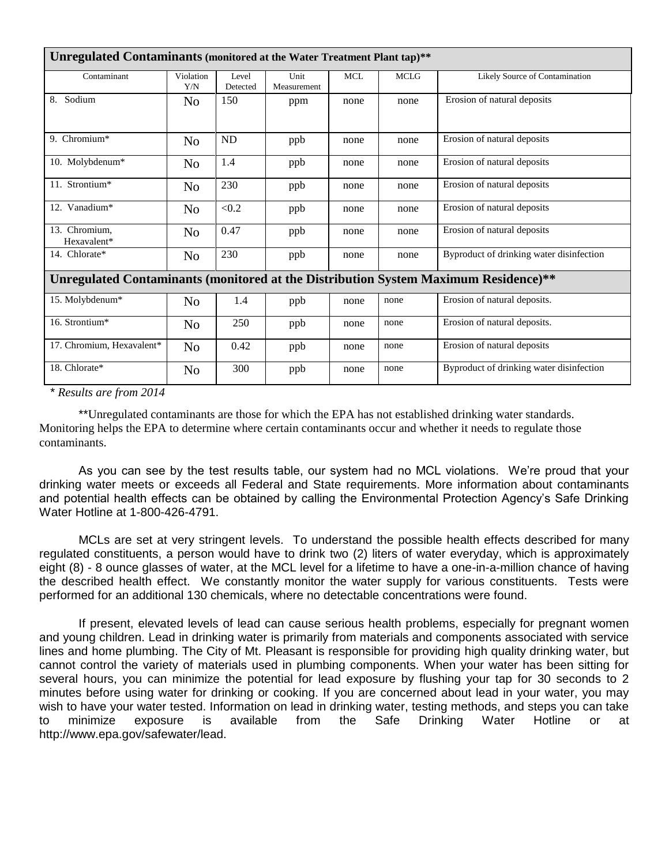| Unregulated Contaminants (monitored at the Water Treatment Plant tap)**             |                  |                   |                     |            |             |                                          |  |  |  |  |
|-------------------------------------------------------------------------------------|------------------|-------------------|---------------------|------------|-------------|------------------------------------------|--|--|--|--|
| Contaminant                                                                         | Violation<br>Y/N | Level<br>Detected | Unit<br>Measurement | <b>MCL</b> | <b>MCLG</b> | Likely Source of Contamination           |  |  |  |  |
| Sodium<br>8.                                                                        | No               | 150               | ppm                 | none       | none        | Erosion of natural deposits              |  |  |  |  |
| 9. Chromium*                                                                        | N <sub>o</sub>   | ND                | ppb                 | none       | none        | Erosion of natural deposits              |  |  |  |  |
| 10. Molybdenum*                                                                     | N <sub>o</sub>   | 1.4               | ppb                 | none       | none        | Erosion of natural deposits              |  |  |  |  |
| 11. Strontium*                                                                      | N <sub>o</sub>   | 230               | ppb                 | none       | none        | Erosion of natural deposits              |  |  |  |  |
| 12. Vanadium*                                                                       | N <sub>o</sub>   | < 0.2             | ppb                 | none       | none        | Erosion of natural deposits              |  |  |  |  |
| 13. Chromium,<br>Hexavalent*                                                        | N <sub>o</sub>   | 0.47              | ppb                 | none       | none        | Erosion of natural deposits              |  |  |  |  |
| 14. Chlorate*                                                                       | N <sub>o</sub>   | 230               | ppb                 | none       | none        | Byproduct of drinking water disinfection |  |  |  |  |
| Unregulated Contaminants (monitored at the Distribution System Maximum Residence)** |                  |                   |                     |            |             |                                          |  |  |  |  |
| 15. Molybdenum*                                                                     | N <sub>o</sub>   | 1.4               | ppb                 | none       | none        | Erosion of natural deposits.             |  |  |  |  |
| 16. Strontium*                                                                      | N <sub>o</sub>   | 250               | ppb                 | none       | none        | Erosion of natural deposits.             |  |  |  |  |
| 17. Chromium, Hexavalent*                                                           | N <sub>o</sub>   | 0.42              | ppb                 | none       | none        | Erosion of natural deposits              |  |  |  |  |
| 18. Chlorate*<br>$\mathcal{L}$<br>2011<br>$\star$ n 1.                              | N <sub>o</sub>   | 300               | ppb                 | none       | none        | Byproduct of drinking water disinfection |  |  |  |  |

*\* Results are from 2014*

\*\*Unregulated contaminants are those for which the EPA has not established drinking water standards. Monitoring helps the EPA to determine where certain contaminants occur and whether it needs to regulate those contaminants.

As you can see by the test results table, our system had no MCL violations. We're proud that your drinking water meets or exceeds all Federal and State requirements. More information about contaminants and potential health effects can be obtained by calling the Environmental Protection Agency's Safe Drinking Water Hotline at 1-800-426-4791.

MCLs are set at very stringent levels. To understand the possible health effects described for many regulated constituents, a person would have to drink two (2) liters of water everyday, which is approximately eight (8) - 8 ounce glasses of water, at the MCL level for a lifetime to have a one-in-a-million chance of having the described health effect. We constantly monitor the water supply for various constituents. Tests were performed for an additional 130 chemicals, where no detectable concentrations were found.

If present, elevated levels of lead can cause serious health problems, especially for pregnant women and young children. Lead in drinking water is primarily from materials and components associated with service lines and home plumbing. The City of Mt. Pleasant is responsible for providing high quality drinking water, but cannot control the variety of materials used in plumbing components. When your water has been sitting for several hours, you can minimize the potential for lead exposure by flushing your tap for 30 seconds to 2 minutes before using water for drinking or cooking. If you are concerned about lead in your water, you may wish to have your water tested. Information on lead in drinking water, testing methods, and steps you can take to minimize exposure is available from the Safe Drinking Water Hotline or at http://www.epa.gov/safewater/lead.